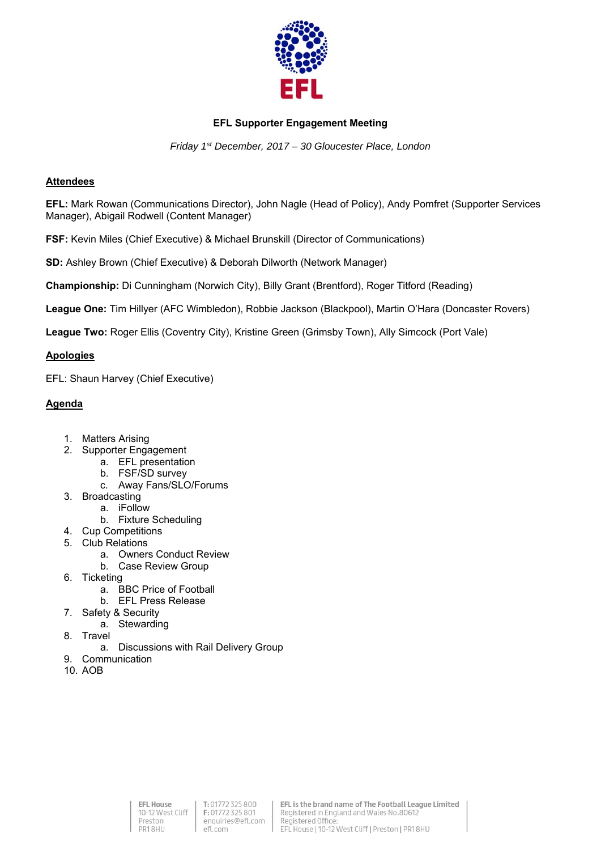

# **EFL Supporter Engagement Meeting**

*Friday 1st December, 2017 – 30 Gloucester Place, London* 

## **Attendees**

**EFL:** Mark Rowan (Communications Director), John Nagle (Head of Policy), Andy Pomfret (Supporter Services Manager), Abigail Rodwell (Content Manager)

**FSF:** Kevin Miles (Chief Executive) & Michael Brunskill (Director of Communications)

**SD:** Ashley Brown (Chief Executive) & Deborah Dilworth (Network Manager)

**Championship:** Di Cunningham (Norwich City), Billy Grant (Brentford), Roger Titford (Reading)

**League One:** Tim Hillyer (AFC Wimbledon), Robbie Jackson (Blackpool), Martin O'Hara (Doncaster Rovers)

**League Two:** Roger Ellis (Coventry City), Kristine Green (Grimsby Town), Ally Simcock (Port Vale)

## **Apologies**

EFL: Shaun Harvey (Chief Executive)

# **Agenda**

- 1. Matters Arising
- 2. Supporter Engagement
	- a. EFL presentation
	- b. FSF/SD survey
	- c. Away Fans/SLO/Forums
- 3. Broadcasting
	- a. iFollow
		- b. Fixture Scheduling
- 4. Cup Competitions
- 5. Club Relations
	- a. Owners Conduct Review
	- b. Case Review Group
- 6. Ticketing
	- a. BBC Price of Football
	- b. EFL Press Release
- 7. Safety & Security
	- a. Stewarding
- 8. Travel
	- a. Discussions with Rail Delivery Group
- 9. Communication
- 10. AOB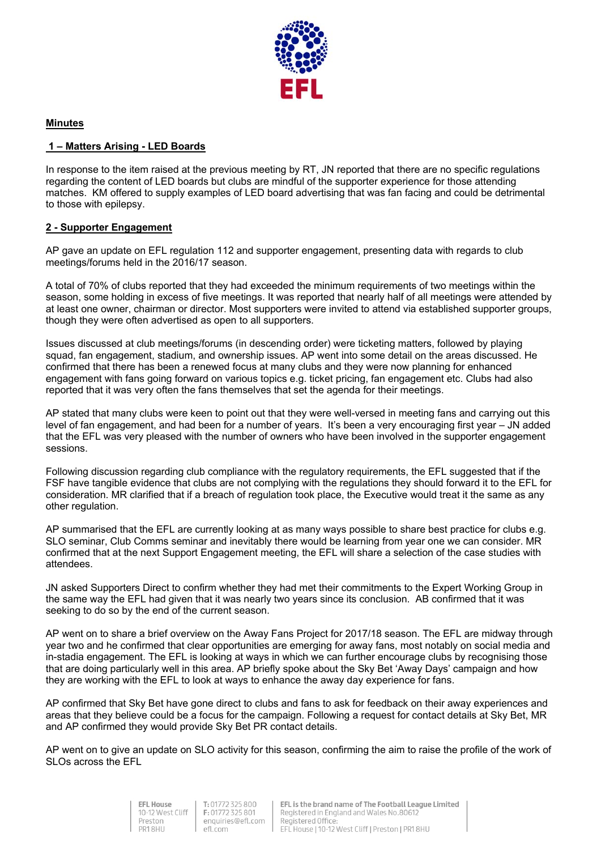

## **Minutes**

## **1 – Matters Arising - LED Boards**

In response to the item raised at the previous meeting by RT, JN reported that there are no specific regulations regarding the content of LED boards but clubs are mindful of the supporter experience for those attending matches. KM offered to supply examples of LED board advertising that was fan facing and could be detrimental to those with epilepsy.

## **2 - Supporter Engagement**

AP gave an update on EFL regulation 112 and supporter engagement, presenting data with regards to club meetings/forums held in the 2016/17 season.

A total of 70% of clubs reported that they had exceeded the minimum requirements of two meetings within the season, some holding in excess of five meetings. It was reported that nearly half of all meetings were attended by at least one owner, chairman or director. Most supporters were invited to attend via established supporter groups, though they were often advertised as open to all supporters.

Issues discussed at club meetings/forums (in descending order) were ticketing matters, followed by playing squad, fan engagement, stadium, and ownership issues. AP went into some detail on the areas discussed. He confirmed that there has been a renewed focus at many clubs and they were now planning for enhanced engagement with fans going forward on various topics e.g. ticket pricing, fan engagement etc. Clubs had also reported that it was very often the fans themselves that set the agenda for their meetings.

AP stated that many clubs were keen to point out that they were well-versed in meeting fans and carrying out this level of fan engagement, and had been for a number of years. It's been a very encouraging first year – JN added that the EFL was very pleased with the number of owners who have been involved in the supporter engagement sessions.

Following discussion regarding club compliance with the regulatory requirements, the EFL suggested that if the FSF have tangible evidence that clubs are not complying with the regulations they should forward it to the EFL for consideration. MR clarified that if a breach of regulation took place, the Executive would treat it the same as any other regulation.

AP summarised that the EFL are currently looking at as many ways possible to share best practice for clubs e.g. SLO seminar, Club Comms seminar and inevitably there would be learning from year one we can consider. MR confirmed that at the next Support Engagement meeting, the EFL will share a selection of the case studies with attendees.

JN asked Supporters Direct to confirm whether they had met their commitments to the Expert Working Group in the same way the EFL had given that it was nearly two years since its conclusion. AB confirmed that it was seeking to do so by the end of the current season.

AP went on to share a brief overview on the Away Fans Project for 2017/18 season. The EFL are midway through year two and he confirmed that clear opportunities are emerging for away fans, most notably on social media and in-stadia engagement. The EFL is looking at ways in which we can further encourage clubs by recognising those that are doing particularly well in this area. AP briefly spoke about the Sky Bet 'Away Days' campaign and how they are working with the EFL to look at ways to enhance the away day experience for fans.

AP confirmed that Sky Bet have gone direct to clubs and fans to ask for feedback on their away experiences and areas that they believe could be a focus for the campaign. Following a request for contact details at Sky Bet, MR and AP confirmed they would provide Sky Bet PR contact details.

AP went on to give an update on SLO activity for this season, confirming the aim to raise the profile of the work of SLOs across the EFL



T: 01772 325 800 F: 01772 325 801 enquiries@efl.com efl.com

EFL is the brand name of The Football League Limited Registered in England and Wales No.80612 Registered Office EFL House | 10-12 West Cliff | Preston | PR1 8HU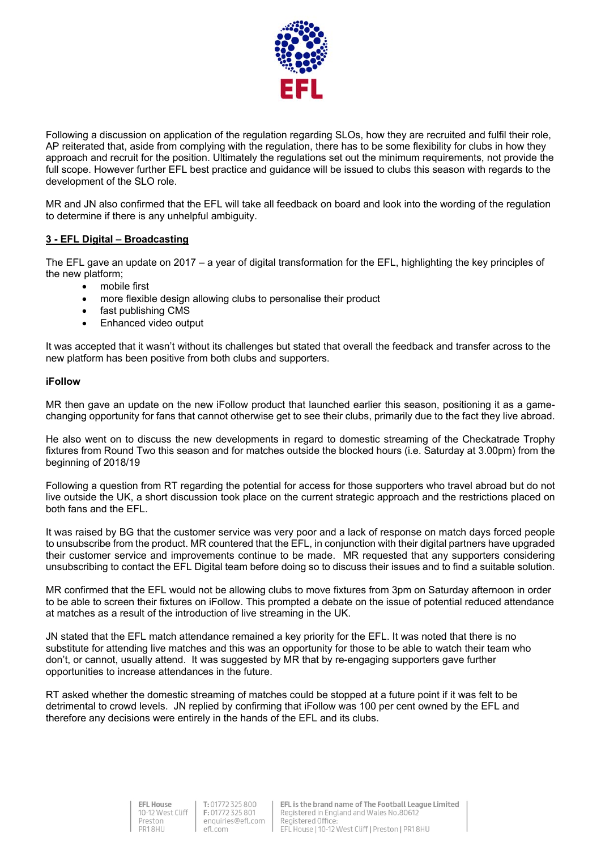

Following a discussion on application of the regulation regarding SLOs, how they are recruited and fulfil their role, AP reiterated that, aside from complying with the regulation, there has to be some flexibility for clubs in how they approach and recruit for the position. Ultimately the regulations set out the minimum requirements, not provide the full scope. However further EFL best practice and guidance will be issued to clubs this season with regards to the development of the SLO role.

MR and JN also confirmed that the EFL will take all feedback on board and look into the wording of the regulation to determine if there is any unhelpful ambiguity.

## **3 - EFL Digital – Broadcasting**

The EFL gave an update on 2017 – a year of digital transformation for the EFL, highlighting the key principles of the new platform;

- mobile first
- more flexible design allowing clubs to personalise their product
- fast publishing CMS
- Enhanced video output

It was accepted that it wasn't without its challenges but stated that overall the feedback and transfer across to the new platform has been positive from both clubs and supporters.

#### **iFollow**

MR then gave an update on the new iFollow product that launched earlier this season, positioning it as a gamechanging opportunity for fans that cannot otherwise get to see their clubs, primarily due to the fact they live abroad.

He also went on to discuss the new developments in regard to domestic streaming of the Checkatrade Trophy fixtures from Round Two this season and for matches outside the blocked hours (i.e. Saturday at 3.00pm) from the beginning of 2018/19

Following a question from RT regarding the potential for access for those supporters who travel abroad but do not live outside the UK, a short discussion took place on the current strategic approach and the restrictions placed on both fans and the EFL.

It was raised by BG that the customer service was very poor and a lack of response on match days forced people to unsubscribe from the product. MR countered that the EFL, in conjunction with their digital partners have upgraded their customer service and improvements continue to be made. MR requested that any supporters considering unsubscribing to contact the EFL Digital team before doing so to discuss their issues and to find a suitable solution.

MR confirmed that the EFL would not be allowing clubs to move fixtures from 3pm on Saturday afternoon in order to be able to screen their fixtures on iFollow. This prompted a debate on the issue of potential reduced attendance at matches as a result of the introduction of live streaming in the UK.

JN stated that the EFL match attendance remained a key priority for the EFL. It was noted that there is no substitute for attending live matches and this was an opportunity for those to be able to watch their team who don't, or cannot, usually attend. It was suggested by MR that by re-engaging supporters gave further opportunities to increase attendances in the future.

RT asked whether the domestic streaming of matches could be stopped at a future point if it was felt to be detrimental to crowd levels. JN replied by confirming that iFollow was 100 per cent owned by the EFL and therefore any decisions were entirely in the hands of the EFL and its clubs.

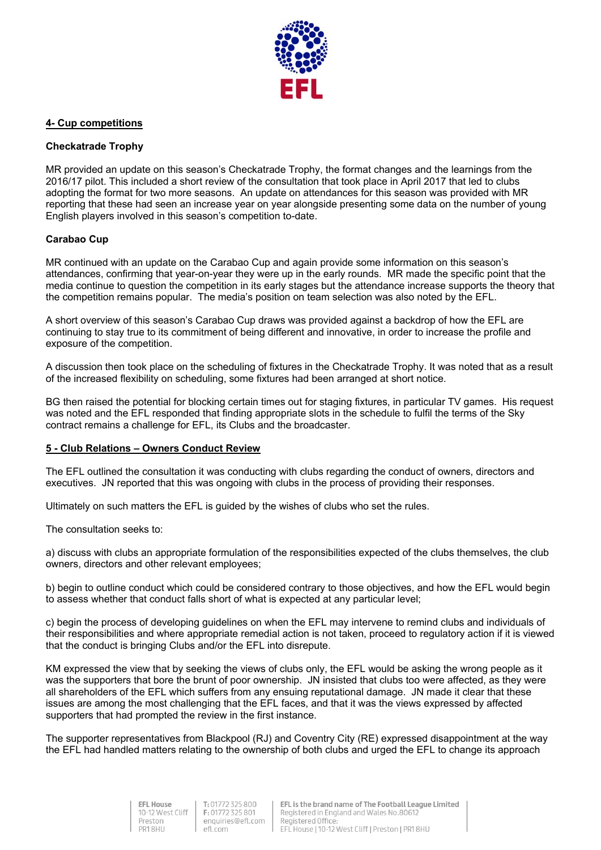

## **4- Cup competitions**

#### **Checkatrade Trophy**

MR provided an update on this season's Checkatrade Trophy, the format changes and the learnings from the 2016/17 pilot. This included a short review of the consultation that took place in April 2017 that led to clubs adopting the format for two more seasons. An update on attendances for this season was provided with MR reporting that these had seen an increase year on year alongside presenting some data on the number of young English players involved in this season's competition to-date.

## **Carabao Cup**

MR continued with an update on the Carabao Cup and again provide some information on this season's attendances, confirming that year-on-year they were up in the early rounds. MR made the specific point that the media continue to question the competition in its early stages but the attendance increase supports the theory that the competition remains popular. The media's position on team selection was also noted by the EFL.

A short overview of this season's Carabao Cup draws was provided against a backdrop of how the EFL are continuing to stay true to its commitment of being different and innovative, in order to increase the profile and exposure of the competition.

A discussion then took place on the scheduling of fixtures in the Checkatrade Trophy. It was noted that as a result of the increased flexibility on scheduling, some fixtures had been arranged at short notice.

BG then raised the potential for blocking certain times out for staging fixtures, in particular TV games. His request was noted and the EFL responded that finding appropriate slots in the schedule to fulfil the terms of the Sky contract remains a challenge for EFL, its Clubs and the broadcaster.

#### **5 - Club Relations – Owners Conduct Review**

The EFL outlined the consultation it was conducting with clubs regarding the conduct of owners, directors and executives. JN reported that this was ongoing with clubs in the process of providing their responses.

Ultimately on such matters the EFL is guided by the wishes of clubs who set the rules.

The consultation seeks to:

a) discuss with clubs an appropriate formulation of the responsibilities expected of the clubs themselves, the club owners, directors and other relevant employees;

b) begin to outline conduct which could be considered contrary to those objectives, and how the EFL would begin to assess whether that conduct falls short of what is expected at any particular level;

c) begin the process of developing guidelines on when the EFL may intervene to remind clubs and individuals of their responsibilities and where appropriate remedial action is not taken, proceed to regulatory action if it is viewed that the conduct is bringing Clubs and/or the EFL into disrepute.

KM expressed the view that by seeking the views of clubs only, the EFL would be asking the wrong people as it was the supporters that bore the brunt of poor ownership. JN insisted that clubs too were affected, as they were all shareholders of the EFL which suffers from any ensuing reputational damage. JN made it clear that these issues are among the most challenging that the EFL faces, and that it was the views expressed by affected supporters that had prompted the review in the first instance.

The supporter representatives from Blackpool (RJ) and Coventry City (RE) expressed disappointment at the way the EFL had handled matters relating to the ownership of both clubs and urged the EFL to change its approach

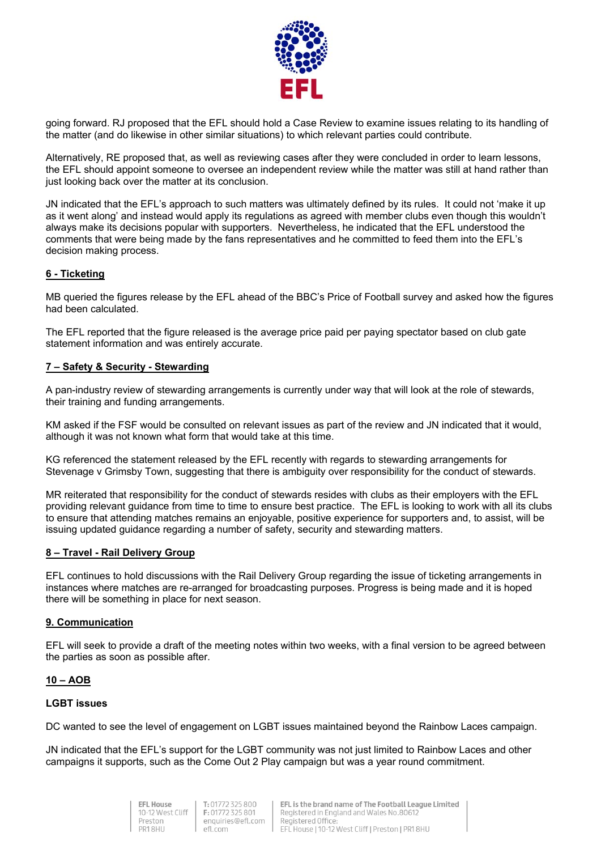

going forward. RJ proposed that the EFL should hold a Case Review to examine issues relating to its handling of the matter (and do likewise in other similar situations) to which relevant parties could contribute.

Alternatively, RE proposed that, as well as reviewing cases after they were concluded in order to learn lessons, the EFL should appoint someone to oversee an independent review while the matter was still at hand rather than just looking back over the matter at its conclusion.

JN indicated that the EFL's approach to such matters was ultimately defined by its rules. It could not 'make it up as it went along' and instead would apply its regulations as agreed with member clubs even though this wouldn't always make its decisions popular with supporters. Nevertheless, he indicated that the EFL understood the comments that were being made by the fans representatives and he committed to feed them into the EFL's decision making process.

## **6 - Ticketing**

MB queried the figures release by the EFL ahead of the BBC's Price of Football survey and asked how the figures had been calculated.

The EFL reported that the figure released is the average price paid per paying spectator based on club gate statement information and was entirely accurate.

#### **7 – Safety & Security - Stewarding**

A pan-industry review of stewarding arrangements is currently under way that will look at the role of stewards, their training and funding arrangements.

KM asked if the FSF would be consulted on relevant issues as part of the review and JN indicated that it would, although it was not known what form that would take at this time.

KG referenced the statement released by the EFL recently with regards to stewarding arrangements for Stevenage v Grimsby Town, suggesting that there is ambiguity over responsibility for the conduct of stewards.

MR reiterated that responsibility for the conduct of stewards resides with clubs as their employers with the EFL providing relevant guidance from time to time to ensure best practice. The EFL is looking to work with all its clubs to ensure that attending matches remains an enjoyable, positive experience for supporters and, to assist, will be issuing updated guidance regarding a number of safety, security and stewarding matters.

#### **8 – Travel - Rail Delivery Group**

EFL continues to hold discussions with the Rail Delivery Group regarding the issue of ticketing arrangements in instances where matches are re-arranged for broadcasting purposes. Progress is being made and it is hoped there will be something in place for next season.

#### **9. Communication**

EFL will seek to provide a draft of the meeting notes within two weeks, with a final version to be agreed between the parties as soon as possible after.

#### **10 – AOB**

#### **LGBT issues**

DC wanted to see the level of engagement on LGBT issues maintained beyond the Rainbow Laces campaign.

JN indicated that the EFL's support for the LGBT community was not just limited to Rainbow Laces and other campaigns it supports, such as the Come Out 2 Play campaign but was a year round commitment.